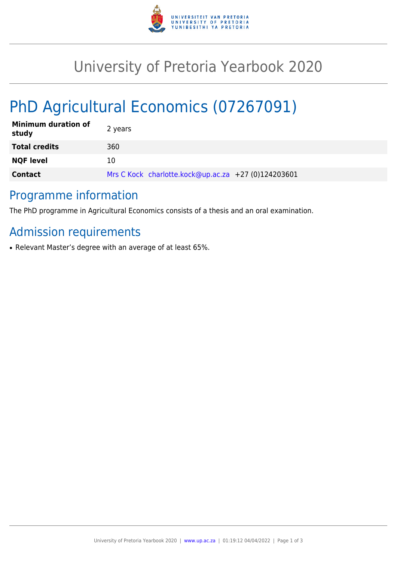

## University of Pretoria Yearbook 2020

# PhD Agricultural Economics (07267091)

| <b>Minimum duration of</b><br>study | 2 years                                             |
|-------------------------------------|-----------------------------------------------------|
| <b>Total credits</b>                | 360                                                 |
| <b>NQF level</b>                    | 10                                                  |
| <b>Contact</b>                      | Mrs C Kock charlotte.kock@up.ac.za +27 (0)124203601 |

#### Programme information

The PhD programme in Agricultural Economics consists of a thesis and an oral examination.

## Admission requirements

• Relevant Master's degree with an average of at least 65%.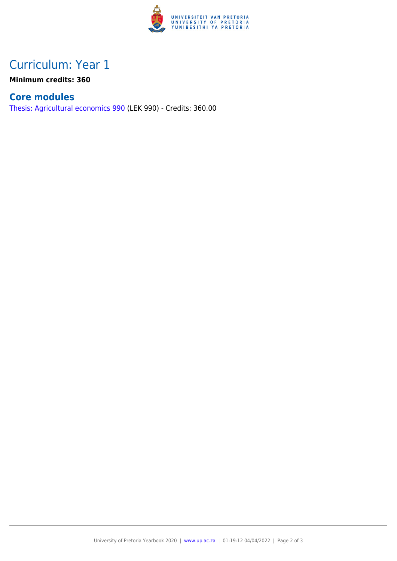

### Curriculum: Year 1

**Minimum credits: 360**

#### **Core modules**

[Thesis: Agricultural economics 990](https://www.up.ac.za/yearbooks/2020/modules/view/LEK 990) (LEK 990) - Credits: 360.00